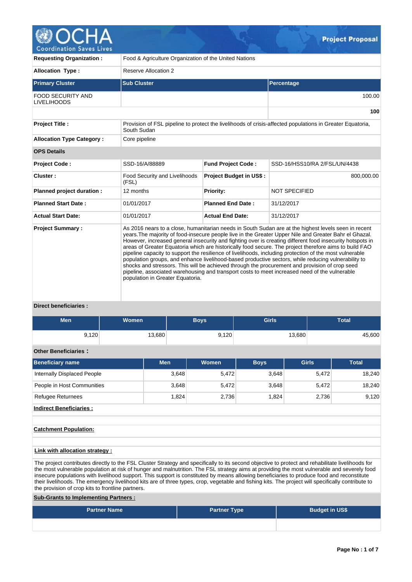

| <b>Requesting Organization:</b>                | Food & Agriculture Organization of the United Nations                                                                                                                                                                                                                                                                                                                                                                                                                                                                                                                                                                                                                                                                                                                                                                                                                                          |                                |                                                                                                           |  |  |  |  |  |
|------------------------------------------------|------------------------------------------------------------------------------------------------------------------------------------------------------------------------------------------------------------------------------------------------------------------------------------------------------------------------------------------------------------------------------------------------------------------------------------------------------------------------------------------------------------------------------------------------------------------------------------------------------------------------------------------------------------------------------------------------------------------------------------------------------------------------------------------------------------------------------------------------------------------------------------------------|--------------------------------|-----------------------------------------------------------------------------------------------------------|--|--|--|--|--|
| <b>Allocation Type:</b>                        | Reserve Allocation 2                                                                                                                                                                                                                                                                                                                                                                                                                                                                                                                                                                                                                                                                                                                                                                                                                                                                           |                                |                                                                                                           |  |  |  |  |  |
| <b>Primary Cluster</b>                         | <b>Sub Cluster</b>                                                                                                                                                                                                                                                                                                                                                                                                                                                                                                                                                                                                                                                                                                                                                                                                                                                                             |                                | Percentage                                                                                                |  |  |  |  |  |
| <b>FOOD SECURITY AND</b><br><b>LIVELIHOODS</b> |                                                                                                                                                                                                                                                                                                                                                                                                                                                                                                                                                                                                                                                                                                                                                                                                                                                                                                |                                | 100.00                                                                                                    |  |  |  |  |  |
|                                                |                                                                                                                                                                                                                                                                                                                                                                                                                                                                                                                                                                                                                                                                                                                                                                                                                                                                                                |                                | 100                                                                                                       |  |  |  |  |  |
| <b>Project Title:</b>                          | South Sudan                                                                                                                                                                                                                                                                                                                                                                                                                                                                                                                                                                                                                                                                                                                                                                                                                                                                                    |                                | Provision of FSL pipeline to protect the livelihoods of crisis-affected populations in Greater Equatoria, |  |  |  |  |  |
| <b>Allocation Type Category:</b>               | Core pipeline                                                                                                                                                                                                                                                                                                                                                                                                                                                                                                                                                                                                                                                                                                                                                                                                                                                                                  |                                |                                                                                                           |  |  |  |  |  |
| <b>OPS Details</b>                             |                                                                                                                                                                                                                                                                                                                                                                                                                                                                                                                                                                                                                                                                                                                                                                                                                                                                                                |                                |                                                                                                           |  |  |  |  |  |
| <b>Project Code:</b>                           | SSD-16/A/88889                                                                                                                                                                                                                                                                                                                                                                                                                                                                                                                                                                                                                                                                                                                                                                                                                                                                                 | <b>Fund Project Code:</b>      | SSD-16/HSS10/RA 2/FSL/UN/4438                                                                             |  |  |  |  |  |
| Cluster:                                       | <b>Food Security and Livelihoods</b><br>(FSL)                                                                                                                                                                                                                                                                                                                                                                                                                                                                                                                                                                                                                                                                                                                                                                                                                                                  | <b>Project Budget in US\$:</b> | 800,000.00                                                                                                |  |  |  |  |  |
| Planned project duration :                     | 12 months                                                                                                                                                                                                                                                                                                                                                                                                                                                                                                                                                                                                                                                                                                                                                                                                                                                                                      | <b>Priority:</b>               | <b>NOT SPECIFIED</b>                                                                                      |  |  |  |  |  |
| <b>Planned Start Date:</b>                     | 01/01/2017                                                                                                                                                                                                                                                                                                                                                                                                                                                                                                                                                                                                                                                                                                                                                                                                                                                                                     | <b>Planned End Date:</b>       | 31/12/2017                                                                                                |  |  |  |  |  |
| <b>Actual Start Date:</b>                      | 01/01/2017                                                                                                                                                                                                                                                                                                                                                                                                                                                                                                                                                                                                                                                                                                                                                                                                                                                                                     | <b>Actual End Date:</b>        | 31/12/2017                                                                                                |  |  |  |  |  |
| <b>Project Summary:</b>                        | As 2016 nears to a close, humanitarian needs in South Sudan are at the highest levels seen in recent<br>years. The majority of food-insecure people live in the Greater Upper Nile and Greater Bahr el Ghazal.<br>However, increased general insecurity and fighting over is creating different food insecurity hotspots in<br>areas of Greater Equatoria which are historically food secure. The project therefore aims to build FAO<br>pipeline capacity to support the resilience of livelihoods, including protection of the most vulnerable<br>population groups, and enhance livelihood-based productive sectors, while reducing vulnerability to<br>shocks and stressors. This will be achieved through the procurement and provision of crop seed<br>pipeline, associated warehousing and transport costs to meet increased need of the vulnerable<br>population in Greater Equatoria. |                                |                                                                                                           |  |  |  |  |  |

### **Direct beneficiaries :**

| Men   | <b>Women</b> | Boys  | <b>Girls</b> | <b>Total</b> |  |
|-------|--------------|-------|--------------|--------------|--|
| 9,120 | 13,680       | 9,120 | 13,680       | 45,600       |  |

# **Other Beneficiaries :**

|       | <b>Women</b> | <b>Boys</b> | <b>Girls</b> | <b>Total</b> |
|-------|--------------|-------------|--------------|--------------|
| 3,648 | 5.472        | 3.648       | 5,472        | 18.240       |
| 3,648 | 5.472        | 3.648       | 5.472        | 18,240       |
| 1.824 | 2,736        | 1.824       | 2.736        | 9,120        |
|       |              |             |              |              |

**Indirect Beneficiaries :**

## **Catchment Population:**

# **Link with allocation strategy :**

The project contributes directly to the FSL Cluster Strategy and specifically to its second objective to protect and rehabilitate livelihoods for the most vulnerable population at risk of hunger and malnutrition. The FSL strategy aims at providing the most vulnerable and severely food insecure populations with livelihood support. This support is constituted by means allowing beneficiaries to produce food and reconstitute their livelihoods. The emergency livelihood kits are of three types, crop, vegetable and fishing kits. The project will specifically contribute to the provision of crop kits to frontline partners.

# **Sub-Grants to Implementing Partners :**

| <b>Partner Name</b> | <b>Partner Type</b> | <b>Budget in US\$</b> |
|---------------------|---------------------|-----------------------|
|                     |                     |                       |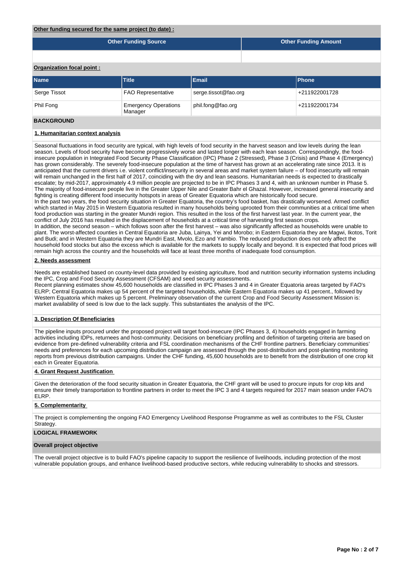#### **Other funding secured for the same project (to date) :**

| <b>Other Funding Source</b> | <b>Other Funding Amount</b> |
|-----------------------------|-----------------------------|
|                             |                             |

## **Organization focal point :**

| <b>Name</b>  | <b>Title</b>                           | Email                | <b>IPhone</b> |  |  |
|--------------|----------------------------------------|----------------------|---------------|--|--|
| Serge Tissot | <b>FAO Representative</b>              | serge.tissot@fao.org | +211922001728 |  |  |
| Phil Fong    | <b>Emergency Operations</b><br>Manager | phil.fong@fao.org    | +211922001734 |  |  |

### **BACKGROUND**

#### **1. Humanitarian context analysis**

Seasonal fluctuations in food security are typical, with high levels of food security in the harvest season and low levels during the lean season. Levels of food security have become progressively worse and lasted longer with each lean season. Correspondingly, the foodinsecure population in Integrated Food Security Phase Classification (IPC) Phase 2 (Stressed), Phase 3 (Crisis) and Phase 4 (Emergency) has grown considerably. The severely food-insecure population at the time of harvest has grown at an accelerating rate since 2013. It is anticipated that the current drivers i.e. violent conflict/insecurity in several areas and market system failure – of food insecurity will remain will remain unchanged in the first half of 2017, coinciding with the dry and lean seasons. Humanitarian needs is expected to drastically escalate; by mid-2017, approximately 4.9 million people are projected to be in IPC Phases 3 and 4, with an unknown number in Phase 5. The majority of food-insecure people live in the Greater Upper Nile and Greater Bahr el Ghazal. However, increased general insecurity and fighting is creating different food insecurity hotspots in areas of Greater Equatoria which are historically food secure.

In the past two years, the food security situation in Greater Equatoria, the country's food basket, has drastically worsened. Armed conflict which started in May 2015 in Western Equatoria resulted in many households being uprooted from their communities at a critical time when food production was starting in the greater Mundri region. This resulted in the loss of the first harvest last year. In the current year, the conflict of July 2016 has resulted in the displacement of households at a critical time of harvesting first season crops.

In addition, the second season – which follows soon after the first harvest – was also significantly affected as households were unable to plant. The worst-affected counties in Central Equatoria are Juba, Lainya, Yei and Morobo; in Eastern Equatoria they are Magwi, Ikotos, Torit and Budi; and in Western Equatoria they are Mundri East, Mvolo, Ezo and Yambio. The reduced production does not only affect the household food stocks but also the excess which is available for the markets to supply locally and beyond. It is expected that food prices will remain high across the country and the households will face at least three months of inadequate food consumption.

### **2. Needs assessment**

Needs are established based on county-level data provided by existing agriculture, food and nutrition security information systems including the IPC, Crop and Food Security Assessment (CFSAM) and seed security assessments.

Recent planning estimates show 45,600 households are classified in IPC Phases 3 and 4 in Greater Equatoria areas targeted by FAO's ELRP; Central Equatoria makes up 54 percent of the targeted households, while Eastern Equatoria makes up 41 percent., followed by Western Equatoria which makes up 5 percent. Preliminary observation of the current Crop and Food Security Assessment Mission is: market availability of seed is low due to the lack supply. This substantiates the analysis of the IPC.

#### **3. Description Of Beneficiaries**

The pipeline inputs procured under the proposed project will target food-insecure (IPC Phases 3, 4) households engaged in farming activities including IDPs, returnees and host-community. Decisions on beneficiary profiling and definition of targeting criteria are based on evidence from pre-defined vulnerability criteria and FSL coordination mechanisms of the CHF frontline partners. Beneficiary communities' needs and preferences for each upcoming distribution campaign are assessed through the post-distribution and post-planting monitoring reports from previous distribution campaigns. Under the CHF funding, 45,600 households are to benefit from the distribution of one crop kit each in Greater Equatoria.

#### **4. Grant Request Justification**

Given the deterioration of the food security situation in Greater Equatoria, the CHF grant will be used to procure inputs for crop kits and ensure their timely transportation to frontline partners in order to meet the IPC 3 and 4 targets required for 2017 main season under FAO's ELRP.

### **5. Complementarity**

The project is complementing the ongoing FAO Emergency Livelihood Response Programme as well as contributes to the FSL Cluster Strategy.

#### **LOGICAL FRAMEWORK**

#### **Overall project objective**

The overall project objective is to build FAO's pipeline capacity to support the resilience of livelihoods, including protection of the most vulnerable population groups, and enhance livelihood-based productive sectors, while reducing vulnerability to shocks and stressors.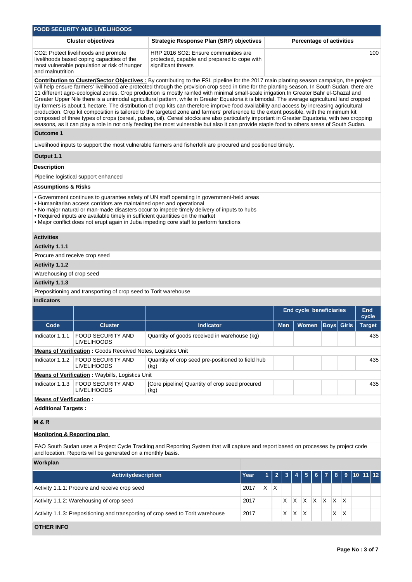|                                                                                                                                                                                                                                                                                                                                                                                                                                                                                                                                                                                                                                                                                                                                                                                                                                                                                                                                                                                                                                                                                                                                                                                  | <b>FOOD SECURITY AND LIVELIHOODS</b>                                                                                               |                                                                                                                                    |      |   |                         |            |   |       |   |                                |                                 |                     |     |
|----------------------------------------------------------------------------------------------------------------------------------------------------------------------------------------------------------------------------------------------------------------------------------------------------------------------------------------------------------------------------------------------------------------------------------------------------------------------------------------------------------------------------------------------------------------------------------------------------------------------------------------------------------------------------------------------------------------------------------------------------------------------------------------------------------------------------------------------------------------------------------------------------------------------------------------------------------------------------------------------------------------------------------------------------------------------------------------------------------------------------------------------------------------------------------|------------------------------------------------------------------------------------------------------------------------------------|------------------------------------------------------------------------------------------------------------------------------------|------|---|-------------------------|------------|---|-------|---|--------------------------------|---------------------------------|---------------------|-----|
|                                                                                                                                                                                                                                                                                                                                                                                                                                                                                                                                                                                                                                                                                                                                                                                                                                                                                                                                                                                                                                                                                                                                                                                  | <b>Cluster objectives</b>                                                                                                          | <b>Strategic Response Plan (SRP) objectives</b>                                                                                    |      |   |                         |            |   |       |   |                                | <b>Percentage of activities</b> |                     |     |
| and malnutrition                                                                                                                                                                                                                                                                                                                                                                                                                                                                                                                                                                                                                                                                                                                                                                                                                                                                                                                                                                                                                                                                                                                                                                 | CO2: Protect livelihoods and promote<br>livelihoods based coping capacities of the<br>most vulnerable population at risk of hunger | HRP 2016 SO2: Ensure communities are<br>protected, capable and prepared to cope with<br>significant threats                        |      |   |                         |            |   |       |   |                                | 100                             |                     |     |
| <b>Contribution to Cluster/Sector Objectives:</b> By contributing to the FSL pipeline for the 2017 main planting season campaign, the project<br>will help ensure farmers' livelihood are protected through the provision crop seed in time for the planting season. In South Sudan, there are<br>11 different agro-ecological zones. Crop production is mostly rainfed with minimal small-scale irrigation.In Greater Bahr el-Ghazal and<br>Greater Upper Nile there is a unimodal agricultural pattern, while in Greater Equatoria it is bimodal. The average agricultural land cropped<br>by farmers is about 1 hectare. The distribution of crop kits can therefore improve food availability and access by increasing agricultural<br>production. Crop kit composition is tailored to the targeted zone and farmers' preference to the extent possible, with the minimum kit<br>composed of three types of crops (cereal, pulses, oil). Cereal stocks are also particularly important in Greater Equatoria, with two cropping<br>seasons, as it can play a role in not only feeding the most vulnerable but also it can provide staple food to others areas of South Sudan. |                                                                                                                                    |                                                                                                                                    |      |   |                         |            |   |       |   |                                |                                 |                     |     |
| <b>Outcome 1</b>                                                                                                                                                                                                                                                                                                                                                                                                                                                                                                                                                                                                                                                                                                                                                                                                                                                                                                                                                                                                                                                                                                                                                                 |                                                                                                                                    |                                                                                                                                    |      |   |                         |            |   |       |   |                                |                                 |                     |     |
|                                                                                                                                                                                                                                                                                                                                                                                                                                                                                                                                                                                                                                                                                                                                                                                                                                                                                                                                                                                                                                                                                                                                                                                  |                                                                                                                                    | Livelihood inputs to support the most vulnerable farmers and fisherfolk are procured and positioned timely.                        |      |   |                         |            |   |       |   |                                |                                 |                     |     |
| Output 1.1                                                                                                                                                                                                                                                                                                                                                                                                                                                                                                                                                                                                                                                                                                                                                                                                                                                                                                                                                                                                                                                                                                                                                                       |                                                                                                                                    |                                                                                                                                    |      |   |                         |            |   |       |   |                                |                                 |                     |     |
| <b>Description</b>                                                                                                                                                                                                                                                                                                                                                                                                                                                                                                                                                                                                                                                                                                                                                                                                                                                                                                                                                                                                                                                                                                                                                               |                                                                                                                                    |                                                                                                                                    |      |   |                         |            |   |       |   |                                |                                 |                     |     |
|                                                                                                                                                                                                                                                                                                                                                                                                                                                                                                                                                                                                                                                                                                                                                                                                                                                                                                                                                                                                                                                                                                                                                                                  | Pipeline logistical support enhanced                                                                                               |                                                                                                                                    |      |   |                         |            |   |       |   |                                |                                 |                     |     |
| <b>Assumptions &amp; Risks</b>                                                                                                                                                                                                                                                                                                                                                                                                                                                                                                                                                                                                                                                                                                                                                                                                                                                                                                                                                                                                                                                                                                                                                   |                                                                                                                                    |                                                                                                                                    |      |   |                         |            |   |       |   |                                |                                 |                     |     |
| • Government continues to guarantee safety of UN staff operating in government-held areas<br>• Humanitarian access corridors are maintained open and operational<br>. No major natural or man-made disasters occur to impede timely delivery of inputs to hubs<br>• Required inputs are available timely in sufficient quantities on the market<br>. Major conflict does not erupt again in Juba impeding core staff to perform functions                                                                                                                                                                                                                                                                                                                                                                                                                                                                                                                                                                                                                                                                                                                                        |                                                                                                                                    |                                                                                                                                    |      |   |                         |            |   |       |   |                                |                                 |                     |     |
| <b>Activities</b>                                                                                                                                                                                                                                                                                                                                                                                                                                                                                                                                                                                                                                                                                                                                                                                                                                                                                                                                                                                                                                                                                                                                                                |                                                                                                                                    |                                                                                                                                    |      |   |                         |            |   |       |   |                                |                                 |                     |     |
| Activity 1.1.1                                                                                                                                                                                                                                                                                                                                                                                                                                                                                                                                                                                                                                                                                                                                                                                                                                                                                                                                                                                                                                                                                                                                                                   |                                                                                                                                    |                                                                                                                                    |      |   |                         |            |   |       |   |                                |                                 |                     |     |
| Procure and receive crop seed<br>Activity 1.1.2                                                                                                                                                                                                                                                                                                                                                                                                                                                                                                                                                                                                                                                                                                                                                                                                                                                                                                                                                                                                                                                                                                                                  |                                                                                                                                    |                                                                                                                                    |      |   |                         |            |   |       |   |                                |                                 |                     |     |
| Warehousing of crop seed                                                                                                                                                                                                                                                                                                                                                                                                                                                                                                                                                                                                                                                                                                                                                                                                                                                                                                                                                                                                                                                                                                                                                         |                                                                                                                                    |                                                                                                                                    |      |   |                         |            |   |       |   |                                |                                 |                     |     |
| Activity 1.1.3                                                                                                                                                                                                                                                                                                                                                                                                                                                                                                                                                                                                                                                                                                                                                                                                                                                                                                                                                                                                                                                                                                                                                                   |                                                                                                                                    |                                                                                                                                    |      |   |                         |            |   |       |   |                                |                                 |                     |     |
|                                                                                                                                                                                                                                                                                                                                                                                                                                                                                                                                                                                                                                                                                                                                                                                                                                                                                                                                                                                                                                                                                                                                                                                  | Prepositioning and transporting of crop seed to Torit warehouse                                                                    |                                                                                                                                    |      |   |                         |            |   |       |   |                                |                                 |                     |     |
| <b>Indicators</b>                                                                                                                                                                                                                                                                                                                                                                                                                                                                                                                                                                                                                                                                                                                                                                                                                                                                                                                                                                                                                                                                                                                                                                |                                                                                                                                    |                                                                                                                                    |      |   |                         |            |   |       |   |                                |                                 |                     |     |
|                                                                                                                                                                                                                                                                                                                                                                                                                                                                                                                                                                                                                                                                                                                                                                                                                                                                                                                                                                                                                                                                                                                                                                                  |                                                                                                                                    |                                                                                                                                    |      |   |                         |            |   |       |   | <b>End cycle beneficiaries</b> |                                 | <b>End</b><br>cycle |     |
| Code                                                                                                                                                                                                                                                                                                                                                                                                                                                                                                                                                                                                                                                                                                                                                                                                                                                                                                                                                                                                                                                                                                                                                                             | <b>Cluster</b>                                                                                                                     | <b>Indicator</b>                                                                                                                   |      |   |                         | <b>Men</b> |   | Women |   | <b>Boys</b>                    | <b>Girls</b>                    | <b>Target</b>       |     |
| Indicator 1.1.1                                                                                                                                                                                                                                                                                                                                                                                                                                                                                                                                                                                                                                                                                                                                                                                                                                                                                                                                                                                                                                                                                                                                                                  | <b>FOOD SECURITY AND</b><br><b>LIVELIHOODS</b>                                                                                     | Quantity of goods received in warehouse (kg)                                                                                       |      |   |                         |            |   |       |   |                                |                                 |                     | 435 |
|                                                                                                                                                                                                                                                                                                                                                                                                                                                                                                                                                                                                                                                                                                                                                                                                                                                                                                                                                                                                                                                                                                                                                                                  | Means of Verification: Goods Received Notes, Logistics Unit                                                                        |                                                                                                                                    |      |   |                         |            |   |       |   |                                |                                 |                     |     |
| Indicator $1.1.2$                                                                                                                                                                                                                                                                                                                                                                                                                                                                                                                                                                                                                                                                                                                                                                                                                                                                                                                                                                                                                                                                                                                                                                | <b>FOOD SECURITY AND</b><br><b>LIVELIHOODS</b>                                                                                     | Quantity of crop seed pre-positioned to field hub<br>(kg)                                                                          |      |   |                         |            |   |       |   |                                |                                 |                     | 435 |
|                                                                                                                                                                                                                                                                                                                                                                                                                                                                                                                                                                                                                                                                                                                                                                                                                                                                                                                                                                                                                                                                                                                                                                                  | <b>Means of Verification:</b> Waybills, Logistics Unit                                                                             |                                                                                                                                    |      |   |                         |            |   |       |   |                                |                                 |                     |     |
| Indicator 1.1.3                                                                                                                                                                                                                                                                                                                                                                                                                                                                                                                                                                                                                                                                                                                                                                                                                                                                                                                                                                                                                                                                                                                                                                  | <b>FOOD SECURITY AND</b><br><b>LIVELIHOODS</b>                                                                                     | [Core pipeline] Quantity of crop seed procured<br>(kg)                                                                             |      |   |                         |            |   |       |   |                                |                                 |                     | 435 |
| <b>Means of Verification:</b><br><b>Additional Targets:</b>                                                                                                                                                                                                                                                                                                                                                                                                                                                                                                                                                                                                                                                                                                                                                                                                                                                                                                                                                                                                                                                                                                                      |                                                                                                                                    |                                                                                                                                    |      |   |                         |            |   |       |   |                                |                                 |                     |     |
|                                                                                                                                                                                                                                                                                                                                                                                                                                                                                                                                                                                                                                                                                                                                                                                                                                                                                                                                                                                                                                                                                                                                                                                  |                                                                                                                                    |                                                                                                                                    |      |   |                         |            |   |       |   |                                |                                 |                     |     |
| <b>M&amp;R</b>                                                                                                                                                                                                                                                                                                                                                                                                                                                                                                                                                                                                                                                                                                                                                                                                                                                                                                                                                                                                                                                                                                                                                                   |                                                                                                                                    |                                                                                                                                    |      |   |                         |            |   |       |   |                                |                                 |                     |     |
| <b>Monitoring &amp; Reporting plan</b>                                                                                                                                                                                                                                                                                                                                                                                                                                                                                                                                                                                                                                                                                                                                                                                                                                                                                                                                                                                                                                                                                                                                           |                                                                                                                                    |                                                                                                                                    |      |   |                         |            |   |       |   |                                |                                 |                     |     |
|                                                                                                                                                                                                                                                                                                                                                                                                                                                                                                                                                                                                                                                                                                                                                                                                                                                                                                                                                                                                                                                                                                                                                                                  | and location. Reports will be generated on a monthly basis.                                                                        | FAO South Sudan uses a Project Cycle Tracking and Reporting System that will capture and report based on processes by project code |      |   |                         |            |   |       |   |                                |                                 |                     |     |
| Workplan                                                                                                                                                                                                                                                                                                                                                                                                                                                                                                                                                                                                                                                                                                                                                                                                                                                                                                                                                                                                                                                                                                                                                                         |                                                                                                                                    |                                                                                                                                    |      |   |                         |            |   |       |   |                                |                                 |                     |     |
|                                                                                                                                                                                                                                                                                                                                                                                                                                                                                                                                                                                                                                                                                                                                                                                                                                                                                                                                                                                                                                                                                                                                                                                  | <b>Activitydescription</b>                                                                                                         |                                                                                                                                    | Year | 1 | $\overline{\mathbf{c}}$ | 3          | 4 | 5     | 6 | 7                              | 9<br>8                          | 10 11 12            |     |
| X.<br>$\mathsf{X}$<br>Activity 1.1.1: Procure and receive crop seed<br>2017                                                                                                                                                                                                                                                                                                                                                                                                                                                                                                                                                                                                                                                                                                                                                                                                                                                                                                                                                                                                                                                                                                      |                                                                                                                                    |                                                                                                                                    |      |   |                         |            |   |       |   |                                |                                 |                     |     |
|                                                                                                                                                                                                                                                                                                                                                                                                                                                                                                                                                                                                                                                                                                                                                                                                                                                                                                                                                                                                                                                                                                                                                                                  | X<br>X<br>$\mathsf{X}$<br>Activity 1.1.2: Warehousing of crop seed<br>Χ<br>Х<br>X<br>2017<br>X                                     |                                                                                                                                    |      |   |                         |            |   |       |   |                                |                                 |                     |     |
|                                                                                                                                                                                                                                                                                                                                                                                                                                                                                                                                                                                                                                                                                                                                                                                                                                                                                                                                                                                                                                                                                                                                                                                  | Activity 1.1.3: Prepositioning and transporting of crop seed to Torit warehouse<br>$\times$<br>X<br>ΙX<br>2017<br>Х<br>X           |                                                                                                                                    |      |   |                         |            |   |       |   |                                |                                 |                     |     |
| <b>OTHER INFO</b>                                                                                                                                                                                                                                                                                                                                                                                                                                                                                                                                                                                                                                                                                                                                                                                                                                                                                                                                                                                                                                                                                                                                                                |                                                                                                                                    |                                                                                                                                    |      |   |                         |            |   |       |   |                                |                                 |                     |     |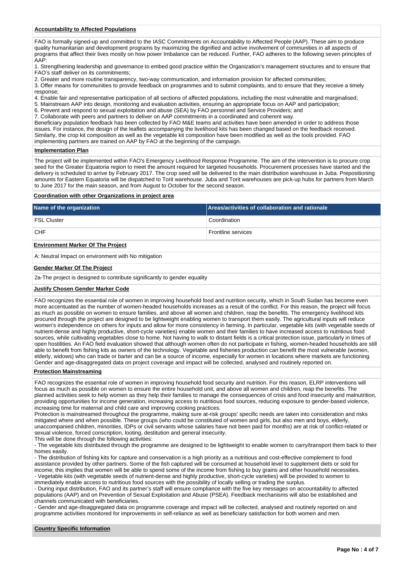#### **Accountability to Affected Populations**

FAO is formally signed-up and committed to the IASC Commitments on Accountability to Affected People (AAP). These aim to produce quality humanitarian and development programs by maximizing the dignified and active involvement of communities in all aspects of programs that affect their lives mostly on how power Imbalance can be reduced. Further, FAO adheres to the following seven principles of AAP:

1. Strengthening leadership and governance to embed good practice within the Organization's management structures and to ensure that FAO's staff deliver on its commitments;

2. Greater and more routine transparency, two-way communication, and information provision for affected communities;

3. Offer means for communities to provide feedback on programmes and to submit complaints, and to ensure that they receive a timely response;

4. Enable fair and representative participation of all sections of affected populations, including the most vulnerable and marginalised;

5. Mainstream AAP into design, monitoring and evaluation activities, ensuring an appropriate focus on AAP and participation;

6. Prevent and respond to sexual exploitation and abuse (SEA) by FAO personnel and Service Providers; and

7. Collaborate with peers and partners to deliver on AAP commitments in a coordinated and coherent way. Beneficiary population feedback has been collected by FAO M&E teams and activities have been amended in order to address those

issues. For instance, the design of the leaflets accompanying the livelihood kits has been changed based on the feedback received. Similarly, the crop kit composition as well as the vegetable kit composition have been modified as well as the tools provided. FAO implementing partners are trained on AAP by FAO at the beginning of the campaign.

#### **Implementation Plan**

The project will be implemented within FAO's Emergency Livelihood Response Programme. The aim of the intervention is to procure crop seed for the Greater Equatoria region to meet the amount required for targeted households. Procurement processes have started and the delivery is scheduled to arrive by February 2017. The crop seed will be delivered to the main distribution warehouse in Juba. Prepositioning amounts for Eastern Equatoria will be dispatched to Torit warehouse. Juba and Torit warehouses are pick-up hubs for partners from March to June 2017 for the main season, and from August to October for the second season.

#### **Coordination with other Organizations in project area**

| Name of the organization                 | Areas/activities of collaboration and rationale |
|------------------------------------------|-------------------------------------------------|
| <b>FSL Cluster</b>                       | Coordination                                    |
| <b>CHF</b>                               | <b>Frontline services</b>                       |
| <b>Environment Marker Of The Project</b> |                                                 |

A: Neutral Impact on environment with No mitigation

#### **Gender Marker Of The Project**

2a-The project is designed to contribute significantly to gender equality

#### **Justify Chosen Gender Marker Code**

FAO recognizes the essential role of women in improving household food and nutrition security, which in South Sudan has become even more accentuated as the number of women-headed households increases as a result of the conflict. For this reason, the project will focus as much as possible on women to ensure families, and above all women and children, reap the benefits. The emergency livelihood kits procured through the project are designed to be lightweight enabling women to transport them easily. The agricultural inputs will reduce women's independence on others for inputs and allow for more consistency in farming. In particular, vegetable kits (with vegetable seeds of nutrient-dense and highly productive, short-cycle varieties) enable women and their families to have increased access to nutritious food sources, while cultivating vegetables close to home. Not having to walk to distant fields is a critical protection issue, particularly in times of open hostilities. An FAO field evaluation showed that although women often do not participate in fishing, women-headed households are still able to benefit from fishing kits as owners of the technology. Vegetable and fisheries production can benefit the most vulnerable (women, elderly, widows) who can trade or barter and can be a source of income, especially for women in locations where markets are functioning. Gender and age-disaggregated data on project coverage and impact will be collected, analysed and routinely reported on.

#### **Protection Mainstreaming**

FAO recognizes the essential role of women in improving household food security and nutrition. For this reason, ELRP interventions will focus as much as possible on women to ensure the entire household unit, and above all women and children, reap the benefits. The planned activities seek to help women as they help their families to manage the consequences of crisis and food insecurity and malnutrition, providing opportunities for income generation, increasing access to nutritious food sources, reducing exposure to gender-based violence, increasing time for maternal and child care and improving cooking practices.

Protection is mainstreamed throughout the programme, making sure at-risk groups' specific needs are taken into consideration and risks mitigated where and when possible. These groups (who could be constituted of women and girls, but also men and boys, elderly, unaccompanied children, minorities, IDPs or civil servants whose salaries have not been paid for months) are at risk of conflict-related or sexual violence, forced conscription, looting, destitution and general insecurity.

This will be done through the following activities:

- The vegetable kits distributed through the programme are designed to be lightweight to enable women to carry/transport them back to their homes easily.

- The distribution of fishing kits for capture and conservation is a high priority as a nutritious and cost-effective complement to food assistance provided by other partners. Some of the fish captured will be consumed at household level to supplement diets or sold for income; this implies that women will be able to spend some of the income from fishing to buy grains and other household necessities. - Vegetable kits (with vegetable seeds of nutrient-dense and highly productive, short-cycle varieties) will be provided to women to immediately enable access to nutritious food sources with the possibility of locally selling or trading the surplus.

- During input distribution, FAO and its partner's staff will ensure compliance with the five key messages on accountability to affected populations (AAP) and on Prevention of Sexual Exploitation and Abuse (PSEA). Feedback mechanisms will also be established and channels communicated with beneficiaries.

- Gender and age-disaggregated data on programme coverage and impact will be collected, analysed and routinely reported on and programme activities monitored for improvements in self-reliance as well as beneficiary satisfaction for both women and men.

#### **Country Specific Information**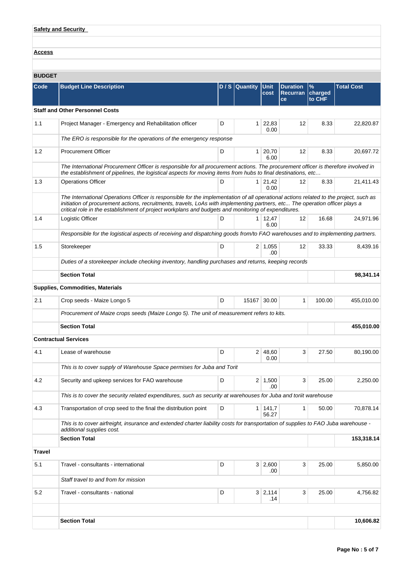|  | <b>Safety and Security</b> |  |
|--|----------------------------|--|
|  |                            |  |

**Access**

# **BUDGET**

| Code          | <b>Budget Line Description</b>                                                                                                                                                                                                                                                                                                                                               |   | D / S Quantity | <b>Unit</b><br>cost    | <b>Duration</b><br><b>Recurran</b><br>ce | $\%$<br>charged<br>to CHF | <b>Total Cost</b> |
|---------------|------------------------------------------------------------------------------------------------------------------------------------------------------------------------------------------------------------------------------------------------------------------------------------------------------------------------------------------------------------------------------|---|----------------|------------------------|------------------------------------------|---------------------------|-------------------|
|               | <b>Staff and Other Personnel Costs</b>                                                                                                                                                                                                                                                                                                                                       |   |                |                        |                                          |                           |                   |
| 1.1           | Project Manager - Emergency and Rehabilitation officer                                                                                                                                                                                                                                                                                                                       | D | 1 <sup>1</sup> | 22,83<br>0.00          | 12                                       | 8.33                      | 22,820.87         |
|               | The ERO is responsible for the operations of the emergency response                                                                                                                                                                                                                                                                                                          |   |                |                        |                                          |                           |                   |
| 1.2           | <b>Procurement Officer</b>                                                                                                                                                                                                                                                                                                                                                   | D | 1              | 20,70<br>6.00          | 12                                       | 8.33                      | 20,697.72         |
|               | The International Procurement Officer is responsible for all procurement actions. The procurement officer is therefore involved in<br>the establishment of pipelines, the logistical aspects for moving items from hubs to final destinations, etc                                                                                                                           |   |                |                        |                                          |                           |                   |
| 1.3           | <b>Operations Officer</b>                                                                                                                                                                                                                                                                                                                                                    | D | 1 <sup>1</sup> | 21,42<br>0.00          | 12                                       | 8.33                      | 21,411.43         |
|               | The International Operations Officer is responsible for the implementation of all operational actions related to the project, such as<br>initiation of procurement actions, recruitments, travels, LoAs with implementing partners, etc The operation officer plays a<br>critical role in the establishment of project workplans and budgets and monitoring of expenditures. |   |                |                        |                                          |                           |                   |
| 1.4           | Logistic Officer                                                                                                                                                                                                                                                                                                                                                             | D |                | $1 \mid 12,47$<br>6.00 | 12                                       | 16.68                     | 24,971.96         |
|               | Responsible for the logistical aspects of receiving and dispatching goods from/to FAO warehouses and to implementing partners.                                                                                                                                                                                                                                               |   |                |                        |                                          |                           |                   |
| 1.5           | Storekeeper                                                                                                                                                                                                                                                                                                                                                                  | D | 2              | 1,055<br>.00           | 12                                       | 33.33                     | 8,439.16          |
|               | Duties of a storekeeper include checking inventory, handling purchases and returns, keeping records                                                                                                                                                                                                                                                                          |   |                |                        |                                          |                           |                   |
|               | <b>Section Total</b>                                                                                                                                                                                                                                                                                                                                                         |   |                |                        |                                          |                           | 98,341.14         |
|               | <b>Supplies, Commodities, Materials</b>                                                                                                                                                                                                                                                                                                                                      |   |                |                        |                                          |                           |                   |
| 2.1           | Crop seeds - Maize Longo 5                                                                                                                                                                                                                                                                                                                                                   | D | 15167          | 30.00                  | 1                                        | 100.00                    | 455,010.00        |
|               | Procurement of Maize crops seeds (Maize Longo 5). The unit of measurement refers to kits.                                                                                                                                                                                                                                                                                    |   |                |                        |                                          |                           |                   |
|               | <b>Section Total</b>                                                                                                                                                                                                                                                                                                                                                         |   |                |                        |                                          |                           | 455,010.00        |
|               | <b>Contractual Services</b>                                                                                                                                                                                                                                                                                                                                                  |   |                |                        |                                          |                           |                   |
| 4.1           | Lease of warehouse                                                                                                                                                                                                                                                                                                                                                           | D |                | 2 48,60<br>0.00        | 3                                        | 27.50                     | 80,190.00         |
|               | This is to cover supply of Warehouse Space permises for Juba and Torit                                                                                                                                                                                                                                                                                                       |   |                |                        |                                          |                           |                   |
| 4.2           | Security and upkeep services for FAO warehouse                                                                                                                                                                                                                                                                                                                               | D |                | $2 \mid 1,500$<br>.00  | 3                                        | 25.00                     | 2,250.00          |
|               | This is to cover the security related expenditures, such as security at warehouses for Juba and toriit warehouse                                                                                                                                                                                                                                                             |   |                |                        |                                          |                           |                   |
| 4.3           | Transportation of crop seed to the final the distribution point                                                                                                                                                                                                                                                                                                              | D |                | 1 141,7<br>56.27       | 1                                        | 50.00                     | 70,878.14         |
|               | This is to cover airfreight, insurance and extended charter liability costs for transportation of supplies to FAO Juba warehouse -<br>additional supplies cost.                                                                                                                                                                                                              |   |                |                        |                                          |                           |                   |
|               | <b>Section Total</b>                                                                                                                                                                                                                                                                                                                                                         |   |                |                        |                                          |                           | 153,318.14        |
| <b>Travel</b> |                                                                                                                                                                                                                                                                                                                                                                              |   |                |                        |                                          |                           |                   |
| 5.1           | Travel - consultants - international<br>D<br>$3 \mid 2,600$<br>3<br>.00                                                                                                                                                                                                                                                                                                      |   |                | 25.00                  | 5,850.00                                 |                           |                   |
|               | Staff travel to and from for mission                                                                                                                                                                                                                                                                                                                                         |   |                |                        |                                          |                           |                   |
| 5.2           | Travel - consultants - national                                                                                                                                                                                                                                                                                                                                              | D |                | $3 \mid 2,114$<br>.14  | 3                                        | 25.00                     | 4,756.82          |
|               |                                                                                                                                                                                                                                                                                                                                                                              |   |                |                        |                                          |                           |                   |
|               | <b>Section Total</b>                                                                                                                                                                                                                                                                                                                                                         |   |                |                        |                                          |                           | 10,606.82         |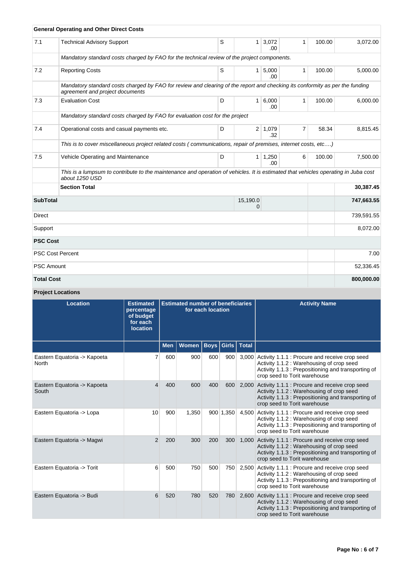|                   | <b>General Operating and Other Direct Costs</b>                                                                                                                 |   |                |               |                |        |            |
|-------------------|-----------------------------------------------------------------------------------------------------------------------------------------------------------------|---|----------------|---------------|----------------|--------|------------|
| 7.1               | <b>Technical Advisory Support</b>                                                                                                                               | S | 1              | 3,072<br>.00  | $\mathbf{1}$   | 100.00 | 3,072.00   |
|                   | Mandatory standard costs charged by FAO for the technical review of the project components.                                                                     |   |                |               |                |        |            |
| 7.2               | <b>Reporting Costs</b>                                                                                                                                          | S | $\mathbf{1}$   | 5,000<br>.00. | $\mathbf{1}$   | 100.00 | 5,000.00   |
|                   | Mandatory standard costs charged by FAO for review and clearing of the report and checking its conformity as per the funding<br>agreement and project documents |   |                |               |                |        |            |
| 7.3               | <b>Evaluation Cost</b>                                                                                                                                          | D | 1 <sup>1</sup> | 6,000<br>.00. | $\mathbf{1}$   | 100.00 | 6,000.00   |
|                   | Mandatory standard costs charged by FAO for evaluation cost for the project                                                                                     |   |                |               |                |        |            |
| 7.4               | Operational costs and casual payments etc.                                                                                                                      | D | 2 <sup>1</sup> | 1,079<br>.32  | $\overline{7}$ | 58.34  | 8,815.45   |
|                   | This is to cover miscellaneous project related costs (communications, repair of premises, internet costs, etc)                                                  |   |                |               |                |        |            |
| 7.5               | Vehicle Operating and Maintenance                                                                                                                               | D | 1              | 1,250<br>.00. | 6              | 100.00 | 7,500.00   |
|                   | This is a lumpsum to contribute to the maintenance and operation of vehicles. It is estimated that vehicles operating in Juba cost<br>about 1250 USD            |   |                |               |                |        |            |
|                   | <b>Section Total</b>                                                                                                                                            |   |                |               |                |        | 30,387.45  |
| <b>SubTotal</b>   |                                                                                                                                                                 |   | 15,190.0<br>0  |               |                |        | 747,663.55 |
| <b>Direct</b>     |                                                                                                                                                                 |   |                |               |                |        | 739,591.55 |
| Support           |                                                                                                                                                                 |   |                |               |                |        | 8,072.00   |
| <b>PSC Cost</b>   |                                                                                                                                                                 |   |                |               |                |        |            |
|                   | <b>PSC Cost Percent</b>                                                                                                                                         |   |                |               |                |        | 7.00       |
| <b>PSC Amount</b> |                                                                                                                                                                 |   |                |               |                |        | 52,336.45  |
| <b>Total Cost</b> |                                                                                                                                                                 |   |                |               |                |        | 800,000.00 |

# **Project Locations**

| <b>Location</b>                       | <b>Estimated</b><br>percentage<br>of budget<br>for each<br><b>location</b> | <b>Estimated number of beneficiaries</b><br>for each location |       |             |           |              |                                                                                                                                                                                    |  |  | <b>Activity Name</b> |
|---------------------------------------|----------------------------------------------------------------------------|---------------------------------------------------------------|-------|-------------|-----------|--------------|------------------------------------------------------------------------------------------------------------------------------------------------------------------------------------|--|--|----------------------|
|                                       |                                                                            | <b>Men</b>                                                    | Women | <b>Boys</b> | Girls     | <b>Total</b> |                                                                                                                                                                                    |  |  |                      |
| Eastern Equatoria -> Kapoeta<br>North |                                                                            | 600                                                           | 900   | 600         | 900       | 3,000        | Activity 1.1.1 : Procure and receive crop seed<br>Activity 1.1.2 : Warehousing of crop seed<br>Activity 1.1.3 : Prepositioning and transporting of<br>crop seed to Torit warehouse |  |  |                      |
| Eastern Equatoria -> Kapoeta<br>South | 4                                                                          | 400                                                           | 600   | 400         | 600       | 2,000        | Activity 1.1.1 : Procure and receive crop seed<br>Activity 1.1.2 : Warehousing of crop seed<br>Activity 1.1.3 : Prepositioning and transporting of<br>crop seed to Torit warehouse |  |  |                      |
| Eastern Equatoria -> Lopa             | 10                                                                         | 900                                                           | 1,350 |             | 900 1,350 | 4,500        | Activity 1.1.1 : Procure and receive crop seed<br>Activity 1.1.2: Warehousing of crop seed<br>Activity 1.1.3 : Prepositioning and transporting of<br>crop seed to Torit warehouse  |  |  |                      |
| Eastern Equatoria -> Magwi            | 2                                                                          | 200                                                           | 300   | 200         | 300       | 1.000        | Activity 1.1.1 : Procure and receive crop seed<br>Activity 1.1.2: Warehousing of crop seed<br>Activity 1.1.3 : Prepositioning and transporting of<br>crop seed to Torit warehouse  |  |  |                      |
| Eastern Equatoria -> Torit            | 6                                                                          | 500                                                           | 750   | 500         | 750       | 2,500        | Activity 1.1.1 : Procure and receive crop seed<br>Activity 1.1.2: Warehousing of crop seed<br>Activity 1.1.3 : Prepositioning and transporting of<br>crop seed to Torit warehouse  |  |  |                      |
| Eastern Equatoria -> Budi             | 6                                                                          | 520                                                           | 780   | 520         | 780       | 2,600        | Activity 1.1.1 : Procure and receive crop seed<br>Activity 1.1.2 : Warehousing of crop seed<br>Activity 1.1.3 : Prepositioning and transporting of<br>crop seed to Torit warehouse |  |  |                      |